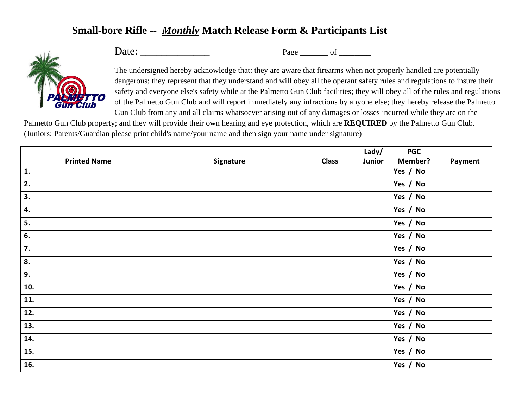## **Small-bore Rifle --** *Monthly* **Match Release Form & Participants List**



Date: \_\_\_\_\_\_\_\_\_\_\_\_\_ Page \_\_\_\_\_\_\_ of \_\_\_\_\_\_\_\_

The undersigned hereby acknowledge that: they are aware that firearms when not properly handled are potentially dangerous; they represent that they understand and will obey all the operant safety rules and regulations to insure their safety and everyone else's safety while at the Palmetto Gun Club facilities; they will obey all of the rules and regulations of the Palmetto Gun Club and will report immediately any infractions by anyone else; they hereby release the Palmetto Gun Club from any and all claims whatsoever arising out of any damages or losses incurred while they are on the

Palmetto Gun Club property; and they will provide their own hearing and eye protection, which are **REQUIRED** by the Palmetto Gun Club. (Juniors: Parents/Guardian please print child's name/your name and then sign your name under signature)

|                     |           |              | Lady/  | <b>PGC</b> |         |
|---------------------|-----------|--------------|--------|------------|---------|
| <b>Printed Name</b> | Signature | <b>Class</b> | Junior | Member?    | Payment |
| 1.                  |           |              |        | Yes / No   |         |
| 2.                  |           |              |        | Yes / No   |         |
| 3.                  |           |              |        | Yes / No   |         |
| 4.                  |           |              |        | Yes / No   |         |
| 5.                  |           |              |        | Yes / No   |         |
| 6.                  |           |              |        | Yes / No   |         |
| 7.                  |           |              |        | Yes / No   |         |
| 8.                  |           |              |        | Yes / No   |         |
| 9.                  |           |              |        | Yes / No   |         |
| 10.                 |           |              |        | Yes / No   |         |
| 11.                 |           |              |        | Yes / No   |         |
| 12.                 |           |              |        | Yes / No   |         |
| 13.                 |           |              |        | Yes / No   |         |
| 14.                 |           |              |        | Yes / No   |         |
| 15.                 |           |              |        | Yes / No   |         |
| 16.                 |           |              |        | Yes / No   |         |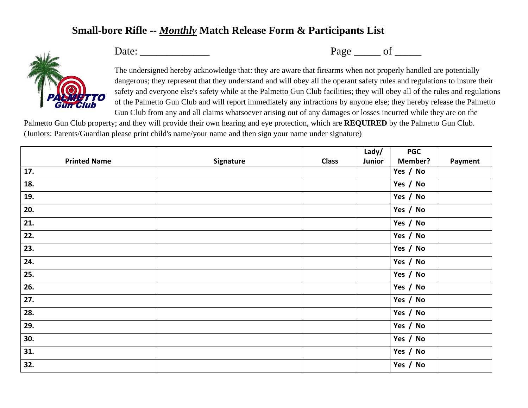## **Small-bore Rifle --** *Monthly* **Match Release Form & Participants List**



Date: \_\_\_\_\_\_\_\_\_\_\_\_\_ Page \_\_\_\_\_ of \_\_\_\_\_

The undersigned hereby acknowledge that: they are aware that firearms when not properly handled are potentially dangerous; they represent that they understand and will obey all the operant safety rules and regulations to insure their safety and everyone else's safety while at the Palmetto Gun Club facilities; they will obey all of the rules and regulations of the Palmetto Gun Club and will report immediately any infractions by anyone else; they hereby release the Palmetto Gun Club from any and all claims whatsoever arising out of any damages or losses incurred while they are on the

Palmetto Gun Club property; and they will provide their own hearing and eye protection, which are **REQUIRED** by the Palmetto Gun Club. (Juniors: Parents/Guardian please print child's name/your name and then sign your name under signature)

|                     |           |              | Lady/  | <b>PGC</b>     |         |
|---------------------|-----------|--------------|--------|----------------|---------|
| <b>Printed Name</b> | Signature | <b>Class</b> | Junior | <b>Member?</b> | Payment |
| 17.                 |           |              |        | Yes / No       |         |
| 18.                 |           |              |        | Yes / No       |         |
| 19.                 |           |              |        | Yes / No       |         |
| 20.                 |           |              |        | Yes / No       |         |
| 21.                 |           |              |        | Yes / No       |         |
| 22.                 |           |              |        | Yes / No       |         |
| 23.                 |           |              |        | Yes / No       |         |
| 24.                 |           |              |        | Yes / No       |         |
| 25.                 |           |              |        | Yes / No       |         |
| 26.                 |           |              |        | Yes / No       |         |
| 27.                 |           |              |        | Yes / No       |         |
| 28.                 |           |              |        | Yes / No       |         |
| 29.                 |           |              |        | Yes / No       |         |
| 30.                 |           |              |        | Yes / No       |         |
| 31.                 |           |              |        | Yes / No       |         |
| 32.                 |           |              |        | Yes / No       |         |